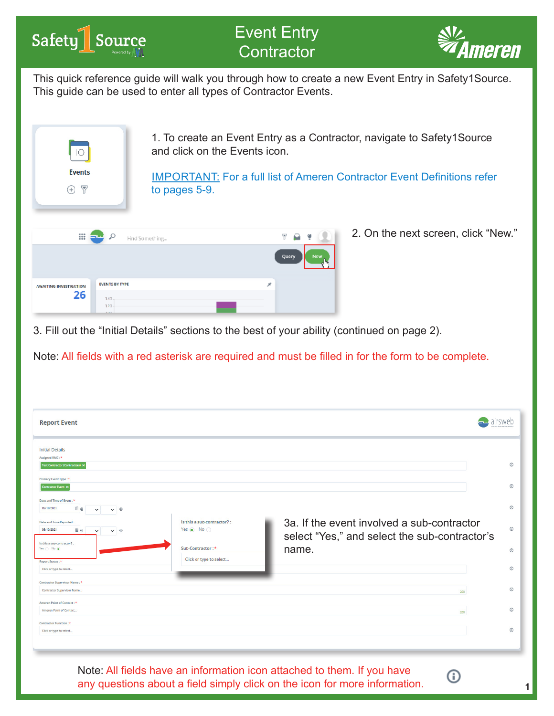



This quick reference guide will walk you through how to create a new Event Entry in Safety1Source. This guide can be used to enter all types of Contractor Events.



3. Fill out the "Initial Details" sections to the best of your ability (continued on page 2).

Note: All fields with a red asterisk are required and must be filled in for the form to be complete.

| <b>Report Event</b>                                                                                                                                                                                                                                                    |                                                                                        |                                                                                                      |                                          |
|------------------------------------------------------------------------------------------------------------------------------------------------------------------------------------------------------------------------------------------------------------------------|----------------------------------------------------------------------------------------|------------------------------------------------------------------------------------------------------|------------------------------------------|
| <b>Initial Details</b><br>Assigned RMC:*<br><b>Test Contractor (Contractors) X</b><br>Primary Event Type: *                                                                                                                                                            |                                                                                        |                                                                                                      | $\odot$                                  |
| <b>Contractor Event X</b><br>Date and Time of Event: *<br>05/10/2021<br>囲 阅<br>$\vee$ 8<br>$\check{ }$<br><b>Date and Time Reported:</b><br>■ ⊗<br>05/10/2021<br>$\circledR$<br>$\check{ }$<br>$\checkmark$<br>Is this a sub-contractor?:<br>Yes $\bigcirc$ No $\circ$ | Is this a sub-contractor?:<br>Yes $\circledast$ No $\circledcirc$<br>Sub-Contractor: * | 3a. If the event involved a sub-contractor<br>select "Yes," and select the sub-contractor's<br>name. | $\odot$<br>$\odot$<br>$\odot$<br>$\odot$ |
| Report Status: *<br>Click or type to select<br>Contractor Supervisor Name: *                                                                                                                                                                                           | Click or type to select                                                                |                                                                                                      | $\odot$                                  |
| <b>Contractor Supervisor Name</b><br>Ameren Point of Contact: *                                                                                                                                                                                                        |                                                                                        | 200                                                                                                  | $\odot$                                  |
| Ameren Point of Contact<br><b>Contractor Function:</b> *                                                                                                                                                                                                               |                                                                                        | 200                                                                                                  | $\odot$                                  |
| Click or type to select                                                                                                                                                                                                                                                |                                                                                        |                                                                                                      | $\odot$                                  |

Note: All fields have an information icon attached to them. If you have any questions about a field simply click on the icon for more information.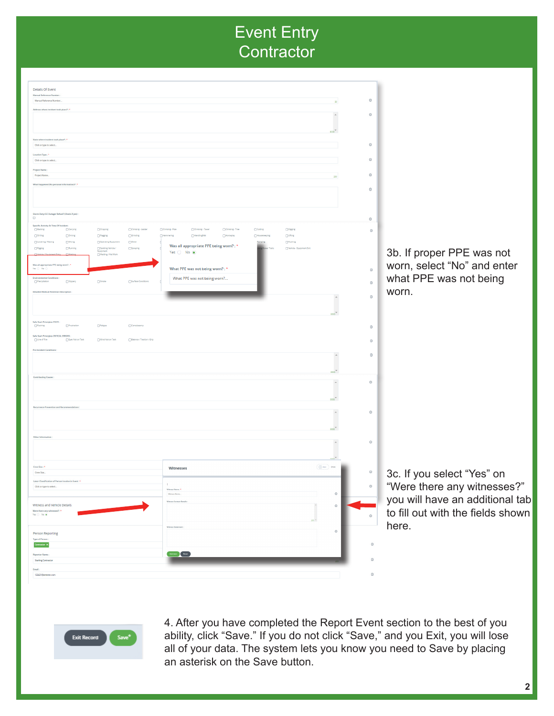| <b>Details Of Event</b>                                                                                                               |                                                                                                                                               |                                          |                                   |
|---------------------------------------------------------------------------------------------------------------------------------------|-----------------------------------------------------------------------------------------------------------------------------------------------|------------------------------------------|-----------------------------------|
| Manual Reference Number<br>Manual Reference Number                                                                                    |                                                                                                                                               | $_{\odot}$<br>30                         |                                   |
| Address where incident took place?: *                                                                                                 |                                                                                                                                               |                                          |                                   |
|                                                                                                                                       |                                                                                                                                               | $_{\odot}$<br>$\Delta$                   |                                   |
|                                                                                                                                       |                                                                                                                                               |                                          |                                   |
|                                                                                                                                       |                                                                                                                                               |                                          |                                   |
| State where incident took place?: *                                                                                                   |                                                                                                                                               |                                          |                                   |
| Click or type to select.                                                                                                              |                                                                                                                                               | $_{\odot}$                               |                                   |
| Location Type: *<br>Click or type to select.                                                                                          |                                                                                                                                               | $_{\odot}$                               |                                   |
|                                                                                                                                       |                                                                                                                                               |                                          |                                   |
| Project Name:<br>Project Name                                                                                                         |                                                                                                                                               | $_{\odot}$                               |                                   |
| What happened (No personal information)?: *                                                                                           |                                                                                                                                               |                                          |                                   |
|                                                                                                                                       |                                                                                                                                               | $_{\odot}$                               |                                   |
|                                                                                                                                       |                                                                                                                                               |                                          |                                   |
|                                                                                                                                       |                                                                                                                                               |                                          |                                   |
| Storm Duty/ EC Outage/ Refuel? (Check if yes):<br>$\hfill \square$                                                                    |                                                                                                                                               |                                          |                                   |
| <b>Specific Activity At Time Of Incident</b>                                                                                          |                                                                                                                                               | $_{\odot}$                               |                                   |
| $\Box$ Backing<br>Carrying<br>OChipping<br>$\Box$ Cimbing - Ladder<br><b>Donling</b><br>Grinding                                      | Climbing - Pole<br>Cimping - Tower<br>Cimping - Tree<br>$\Box$ Cutting<br>$\n  D issing$<br>HandlingMat<br>Horseplay<br><b>I</b> Housekeeping | $_{\odot}$                               |                                   |
| Driving<br>$\Box$ Ragging<br>$\Box$ Lowering / Raising<br>$\Box$ Moing<br>Operating Equipment<br>$\Box$ Other                         | Outing<br>Hammering<br>$\Box$ Puning                                                                                                          |                                          |                                   |
| DResing<br><b>DRunning</b><br>Equipment<br>Equipment<br>$\Box$ Spraying                                                               | Was all appropriate PPE being worn?: *<br>Vehicle - Equipment Exit                                                                            |                                          |                                   |
| Welding / Hot Work                                                                                                                    | Yes $\bigcirc$ No $\circledast$                                                                                                               |                                          | 3b. If proper PPE was not         |
| Was all appropriate PPE being worn?: *                                                                                                |                                                                                                                                               |                                          | worn, select "No" and enter       |
| Yes O No C                                                                                                                            | What PPE was not being worn?: *                                                                                                               | $_{\odot}$                               |                                   |
| <b>Environmental Conditions:</b><br>Sippery<br>Precipitation<br>Smoke<br>Surface Conditions                                           | What PPE was not being worn?                                                                                                                  | $_{\odot}$                               | what PPE was not being            |
| <b>Detailed Medical Attention Description</b>                                                                                         |                                                                                                                                               |                                          |                                   |
|                                                                                                                                       |                                                                                                                                               | $_{\odot}$                               | worn.                             |
|                                                                                                                                       |                                                                                                                                               |                                          |                                   |
|                                                                                                                                       |                                                                                                                                               |                                          |                                   |
| Safe Start Principles STATE :                                                                                                         |                                                                                                                                               |                                          |                                   |
| Prustration<br><b>DRushing</b><br>Fatigue<br>Completenty                                                                              |                                                                                                                                               | $_{\odot}$                               |                                   |
| Safe Start Principles CRITICAL ERRORS:<br>$_{\Box}$ Line of Fire<br>Eyes Not on Task<br>Mind Not on Task<br>Balance / Traction / Grip |                                                                                                                                               | $_{\odot}$                               |                                   |
|                                                                                                                                       |                                                                                                                                               |                                          |                                   |
| <b>Pre-Incident Conditions</b>                                                                                                        |                                                                                                                                               | $\hat{\phantom{a}}$<br>$_{\odot}$        |                                   |
|                                                                                                                                       |                                                                                                                                               |                                          |                                   |
|                                                                                                                                       |                                                                                                                                               | $\sim$                                   |                                   |
| <b>Contributing Causes</b>                                                                                                            |                                                                                                                                               | $_{\odot}$<br>$\Delta$                   |                                   |
|                                                                                                                                       |                                                                                                                                               |                                          |                                   |
|                                                                                                                                       |                                                                                                                                               | $\infty$                                 |                                   |
| rrence Prevention and Recommendations                                                                                                 |                                                                                                                                               |                                          |                                   |
|                                                                                                                                       |                                                                                                                                               | $_{\odot}$<br>$\Delta$                   |                                   |
|                                                                                                                                       |                                                                                                                                               |                                          |                                   |
|                                                                                                                                       |                                                                                                                                               | $\sim$                                   |                                   |
| Other Information                                                                                                                     |                                                                                                                                               |                                          |                                   |
|                                                                                                                                       |                                                                                                                                               | $_{\odot}$                               |                                   |
|                                                                                                                                       |                                                                                                                                               |                                          |                                   |
|                                                                                                                                       |                                                                                                                                               |                                          |                                   |
| Crew Size:<br>Crew Size.                                                                                                              | Witnesses                                                                                                                                     | $(\oplus \text{Asr})$ Show<br>$_{\odot}$ |                                   |
| Labor Classification of Person Involve in Event: *                                                                                    |                                                                                                                                               |                                          | 3c. If you select "Yes" on        |
| Click or type to select                                                                                                               | Witness Name: *                                                                                                                               | $_{\odot}$                               | "Were there any witnesses?"       |
|                                                                                                                                       | Woness Name                                                                                                                                   | $_{\odot}$                               |                                   |
| Witness and Vehicle Details                                                                                                           | Witness Contact Det                                                                                                                           | $_{\odot}$                               | you will have an additional tab   |
| Were there any witnesses ?: "                                                                                                         |                                                                                                                                               |                                          | to fill out with the fields shown |
| Yes $\bigcirc$ No $\circledast$                                                                                                       |                                                                                                                                               | $_{\odot}$                               |                                   |
|                                                                                                                                       |                                                                                                                                               |                                          | here.                             |
| Person Reporting                                                                                                                      |                                                                                                                                               | $_{\odot}$                               |                                   |
| Type of Person:<br>Contractor X                                                                                                       |                                                                                                                                               | $_{\odot}$                               |                                   |
| <b>Reporter Name</b>                                                                                                                  | Addition Reset                                                                                                                                |                                          |                                   |
| <b>Sterling Contracto</b>                                                                                                             |                                                                                                                                               | $_{\odot}$                               |                                   |
| Email:                                                                                                                                |                                                                                                                                               |                                          |                                   |
| 122421@ameren.com                                                                                                                     |                                                                                                                                               | $_{\odot}$                               |                                   |
|                                                                                                                                       |                                                                                                                                               |                                          |                                   |



4. After you have completed the Report Event section to the best of you ability, click "Save." If you do not click "Save," and you Exit, you will lose all of your data. The system lets you know you need to Save by placing an asterisk on the Save button.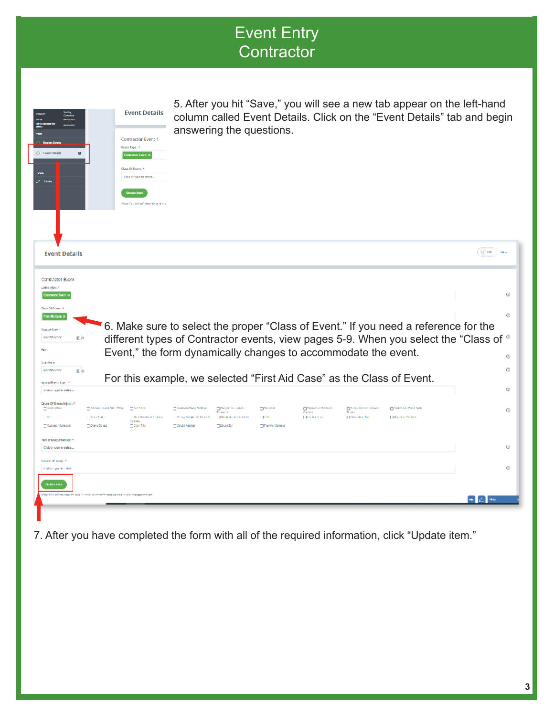| answering the questions.<br><b>Contractor Event 1</b><br>Event Type: *<br>$O$ Event Details<br>$\bullet$<br>Contractor Event X<br>Class Of Event:<br>Click or type to select.<br>$\mathscr{S}$ Links<br><b>Update</b> item<br>Note: You will still need to save in c<br>(田神)<br><b>Event Details</b><br>Contractor Bient<br>CARE EPPETT<br>Crowsor Dars K<br>Clear 20 November<br><b>FretAb Essex</b><br>6. Make sure to select the proper "Class of Event." If you need a reference for the<br><b>Dear of Time</b><br>different types of Contractor events, view pages 5-9. When you select the "Class of ®<br><b>NV TOWAY</b><br>rκ<br>Event," the form dynamically changes to accommodate the event.<br>Apr.<br><b>Bake Rain</b><br><b>MARDWORK</b><br>重风<br>For this example, we selected "First Aid Case" as the Class of Event.<br>Inge pillbass Lynn 1<br>Call of Spello reled<br>Ours Of Heart/Injury :*<br>The lead is a world by a field of the Clean.<br><b>Coloure Dary Technol</b><br>Despain/John/<br><b>Complete</b><br><b>District Co</b><br><b>Operation property</b><br>$\Box$ The Chance (Open) $\Box$ The Latin Line Section<br><b>CONTRACTOR</b><br><b>Processing</b><br>Denver and<br>[ [Philace Administration]<br><b>Chrysler Sale</b><br>    Spring Value<br>"Free Chinese<br><b>Hold Expendite Attack of</b><br><b>C. RO Ferry</b><br>1041<br>2. Houghts special busined<br><b>The deadless</b><br><b>ESIDITIE</b><br>Putped Kompet<br>DS-arc Ocact<br><b>Edward</b> Austral<br><b>DOMANDY</b><br><b>OThermal Costact</b><br>нат, от вокуменение : *<br>Click or type to select<br><b>Norweg of above</b><br><b>Calculate in advis</b><br><b>Updated as</b><br>ar Portull editional et and la colorat control tours have a colorate proportions | <b>Event Details</b> | 5. After you hit "Save," you will see a new tab appear on the left-hand<br>column called Event Details. Click on the "Event Details" tab and begin |  |                            |
|---------------------------------------------------------------------------------------------------------------------------------------------------------------------------------------------------------------------------------------------------------------------------------------------------------------------------------------------------------------------------------------------------------------------------------------------------------------------------------------------------------------------------------------------------------------------------------------------------------------------------------------------------------------------------------------------------------------------------------------------------------------------------------------------------------------------------------------------------------------------------------------------------------------------------------------------------------------------------------------------------------------------------------------------------------------------------------------------------------------------------------------------------------------------------------------------------------------------------------------------------------------------------------------------------------------------------------------------------------------------------------------------------------------------------------------------------------------------------------------------------------------------------------------------------------------------------------------------------------------------------------------------------------------------------------------------------------------------------------------------------------------------------|----------------------|----------------------------------------------------------------------------------------------------------------------------------------------------|--|----------------------------|
|                                                                                                                                                                                                                                                                                                                                                                                                                                                                                                                                                                                                                                                                                                                                                                                                                                                                                                                                                                                                                                                                                                                                                                                                                                                                                                                                                                                                                                                                                                                                                                                                                                                                                                                                                                           |                      |                                                                                                                                                    |  |                            |
|                                                                                                                                                                                                                                                                                                                                                                                                                                                                                                                                                                                                                                                                                                                                                                                                                                                                                                                                                                                                                                                                                                                                                                                                                                                                                                                                                                                                                                                                                                                                                                                                                                                                                                                                                                           |                      |                                                                                                                                                    |  |                            |
|                                                                                                                                                                                                                                                                                                                                                                                                                                                                                                                                                                                                                                                                                                                                                                                                                                                                                                                                                                                                                                                                                                                                                                                                                                                                                                                                                                                                                                                                                                                                                                                                                                                                                                                                                                           |                      |                                                                                                                                                    |  |                            |
|                                                                                                                                                                                                                                                                                                                                                                                                                                                                                                                                                                                                                                                                                                                                                                                                                                                                                                                                                                                                                                                                                                                                                                                                                                                                                                                                                                                                                                                                                                                                                                                                                                                                                                                                                                           |                      |                                                                                                                                                    |  |                            |
|                                                                                                                                                                                                                                                                                                                                                                                                                                                                                                                                                                                                                                                                                                                                                                                                                                                                                                                                                                                                                                                                                                                                                                                                                                                                                                                                                                                                                                                                                                                                                                                                                                                                                                                                                                           |                      |                                                                                                                                                    |  |                            |
|                                                                                                                                                                                                                                                                                                                                                                                                                                                                                                                                                                                                                                                                                                                                                                                                                                                                                                                                                                                                                                                                                                                                                                                                                                                                                                                                                                                                                                                                                                                                                                                                                                                                                                                                                                           |                      |                                                                                                                                                    |  |                            |
|                                                                                                                                                                                                                                                                                                                                                                                                                                                                                                                                                                                                                                                                                                                                                                                                                                                                                                                                                                                                                                                                                                                                                                                                                                                                                                                                                                                                                                                                                                                                                                                                                                                                                                                                                                           |                      |                                                                                                                                                    |  | ω                          |
|                                                                                                                                                                                                                                                                                                                                                                                                                                                                                                                                                                                                                                                                                                                                                                                                                                                                                                                                                                                                                                                                                                                                                                                                                                                                                                                                                                                                                                                                                                                                                                                                                                                                                                                                                                           |                      |                                                                                                                                                    |  |                            |
|                                                                                                                                                                                                                                                                                                                                                                                                                                                                                                                                                                                                                                                                                                                                                                                                                                                                                                                                                                                                                                                                                                                                                                                                                                                                                                                                                                                                                                                                                                                                                                                                                                                                                                                                                                           |                      |                                                                                                                                                    |  |                            |
|                                                                                                                                                                                                                                                                                                                                                                                                                                                                                                                                                                                                                                                                                                                                                                                                                                                                                                                                                                                                                                                                                                                                                                                                                                                                                                                                                                                                                                                                                                                                                                                                                                                                                                                                                                           |                      |                                                                                                                                                    |  |                            |
|                                                                                                                                                                                                                                                                                                                                                                                                                                                                                                                                                                                                                                                                                                                                                                                                                                                                                                                                                                                                                                                                                                                                                                                                                                                                                                                                                                                                                                                                                                                                                                                                                                                                                                                                                                           |                      |                                                                                                                                                    |  |                            |
|                                                                                                                                                                                                                                                                                                                                                                                                                                                                                                                                                                                                                                                                                                                                                                                                                                                                                                                                                                                                                                                                                                                                                                                                                                                                                                                                                                                                                                                                                                                                                                                                                                                                                                                                                                           |                      |                                                                                                                                                    |  |                            |
|                                                                                                                                                                                                                                                                                                                                                                                                                                                                                                                                                                                                                                                                                                                                                                                                                                                                                                                                                                                                                                                                                                                                                                                                                                                                                                                                                                                                                                                                                                                                                                                                                                                                                                                                                                           |                      |                                                                                                                                                    |  |                            |
|                                                                                                                                                                                                                                                                                                                                                                                                                                                                                                                                                                                                                                                                                                                                                                                                                                                                                                                                                                                                                                                                                                                                                                                                                                                                                                                                                                                                                                                                                                                                                                                                                                                                                                                                                                           |                      |                                                                                                                                                    |  |                            |
|                                                                                                                                                                                                                                                                                                                                                                                                                                                                                                                                                                                                                                                                                                                                                                                                                                                                                                                                                                                                                                                                                                                                                                                                                                                                                                                                                                                                                                                                                                                                                                                                                                                                                                                                                                           |                      |                                                                                                                                                    |  |                            |
|                                                                                                                                                                                                                                                                                                                                                                                                                                                                                                                                                                                                                                                                                                                                                                                                                                                                                                                                                                                                                                                                                                                                                                                                                                                                                                                                                                                                                                                                                                                                                                                                                                                                                                                                                                           |                      |                                                                                                                                                    |  |                            |
|                                                                                                                                                                                                                                                                                                                                                                                                                                                                                                                                                                                                                                                                                                                                                                                                                                                                                                                                                                                                                                                                                                                                                                                                                                                                                                                                                                                                                                                                                                                                                                                                                                                                                                                                                                           |                      |                                                                                                                                                    |  |                            |
|                                                                                                                                                                                                                                                                                                                                                                                                                                                                                                                                                                                                                                                                                                                                                                                                                                                                                                                                                                                                                                                                                                                                                                                                                                                                                                                                                                                                                                                                                                                                                                                                                                                                                                                                                                           |                      |                                                                                                                                                    |  | G<br>ø<br>G<br>ø<br>Ø<br>G |
| ★ 乙 ※                                                                                                                                                                                                                                                                                                                                                                                                                                                                                                                                                                                                                                                                                                                                                                                                                                                                                                                                                                                                                                                                                                                                                                                                                                                                                                                                                                                                                                                                                                                                                                                                                                                                                                                                                                     |                      |                                                                                                                                                    |  |                            |

7. After you have completed the form with all of the required information, click "Update item."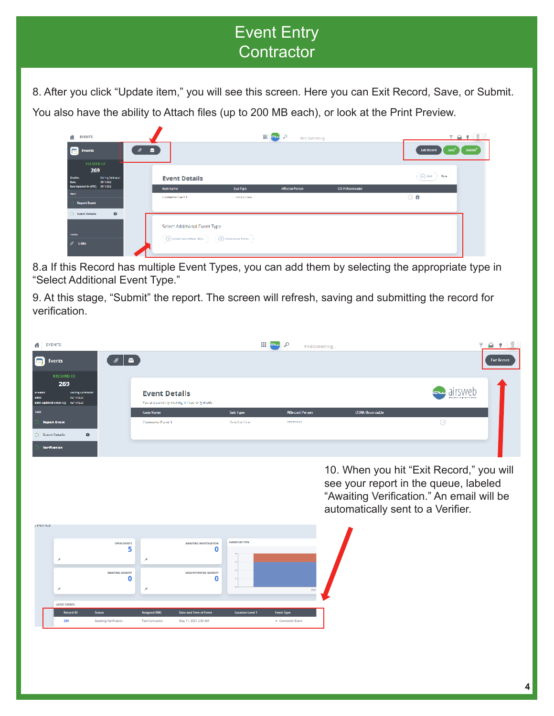8. After you click "Update item," you will see this screen. Here you can Exit Record, Save, or Submit. You also have the ability to Attach files (up to 200 MB each), or look at the Print Preview.

| <b>EVENTS</b><br>ă                                              |   |                                                                                                                                                                                                                                                                                                                                                                                                                                                                                                            | 田二々             | <b>Brd Something</b> |                  |                                                              | 791                 |
|-----------------------------------------------------------------|---|------------------------------------------------------------------------------------------------------------------------------------------------------------------------------------------------------------------------------------------------------------------------------------------------------------------------------------------------------------------------------------------------------------------------------------------------------------------------------------------------------------|-----------------|----------------------|------------------|--------------------------------------------------------------|---------------------|
| <b>Events</b>                                                   | е |                                                                                                                                                                                                                                                                                                                                                                                                                                                                                                            |                 |                      |                  | <b>Lidt Record</b><br>"Save"                                 | Submit <sup>*</sup> |
| <b>RECORD ID</b><br>269<br>Ocales.<br>Staffing Confrontier      |   | <b>Event Details</b>                                                                                                                                                                                                                                                                                                                                                                                                                                                                                       |                 |                      |                  | $\left(\bigoplus_{i=1}^n \mathsf{Ad} \alpha_i\right)$ . Here |                     |
| 15/11/2021<br><b>Date:</b><br>Date Updated On (UTC). 25/11/2021 |   |                                                                                                                                                                                                                                                                                                                                                                                                                                                                                                            |                 |                      |                  |                                                              |                     |
| mrs.                                                            |   | Sup Type<br>from Name<br><b>Little And Case</b><br>Contractor I with 1                                                                                                                                                                                                                                                                                                                                                                                                                                     | Affected Person |                      | CS IA Recordable | ⊙■                                                           |                     |
| <b>Report Event</b>                                             |   |                                                                                                                                                                                                                                                                                                                                                                                                                                                                                                            |                 |                      |                  |                                                              |                     |
| $\bullet$<br>(1) Event Details                                  |   |                                                                                                                                                                                                                                                                                                                                                                                                                                                                                                            |                 |                      |                  |                                                              |                     |
| <b>TUULS</b>                                                    |   | Select Additional Event Type<br>$\begin{array}{l} \begin{pmatrix} \text{\textbf{u}} & \text{\textbf{u}} & \text{\textbf{u}} & \text{\textbf{u}} & \text{\textbf{u}} & \text{\textbf{u}} \end{pmatrix} & \begin{pmatrix} \text{\textbf{u}} & \text{\textbf{u}} & \text{\textbf{u}} & \text{\textbf{u}} & \text{\textbf{u}} \end{pmatrix} & \begin{pmatrix} \text{\textbf{u}} & \text{\textbf{u}} & \text{\textbf{u}} & \text{\textbf{u}} & \text{\textbf{u}} & \text{\textbf{u}} \end{pmatrix} \end{array}$ |                 |                      |                  |                                                              |                     |
| $\mathscr{O}$ Unks                                              |   |                                                                                                                                                                                                                                                                                                                                                                                                                                                                                                            |                 |                      |                  |                                                              |                     |

8.a If this Record has multiple Event Types, you can add them by selecting the appropriate type in "Select Additional Event Type."

9. At this stage, "Submit" the report. The screen will refresh, saving and submitting the record for verification.

| <b>EVENTS</b>                                                                                                          |                                        |                                             | m                          | لمطا<br>D                   | Find Something.                                                            |                                                                                       |
|------------------------------------------------------------------------------------------------------------------------|----------------------------------------|---------------------------------------------|----------------------------|-----------------------------|----------------------------------------------------------------------------|---------------------------------------------------------------------------------------|
| E.<br>₽<br><b>Fro</b><br>Events                                                                                        |                                        |                                             |                            |                             |                                                                            | <b>Fxit Record</b>                                                                    |
| <b>RECORD ID</b><br>269<br>creator:<br>sterling contractor<br>DIRECT<br>ownmaxer<br>pate updated on juricy los/11/2021 | <b>Event Details</b>                   | You are currently viewing in read only mode |                            |                             |                                                                            |                                                                                       |
| <b>Report Event</b>                                                                                                    | <b>Item Name</b><br>Controctor Event 1 |                                             | Sub Type<br>First Aid Case | Allected Person<br>12232333 | <b>OSHA Recordable</b>                                                     | $\odot$                                                                               |
| $\bullet$<br>D Event Details                                                                                           |                                        |                                             |                            |                             |                                                                            |                                                                                       |
| Verification                                                                                                           |                                        |                                             |                            |                             |                                                                            |                                                                                       |
|                                                                                                                        |                                        |                                             |                            |                             | see your report in the queue, labeled<br>automatically sent to a Verifier. | 10. When you hit "Exit Record," you will<br>"Awaiting Verification." An email will be |
| <b>LVEITLE</b>                                                                                                         |                                        |                                             |                            |                             |                                                                            |                                                                                       |
| <b>OPEN EVENTS</b><br>5                                                                                                |                                        | <b>AWAITING INVESTIGATION</b><br>0          | <b>EVENTS BY TYPE</b>      |                             |                                                                            |                                                                                       |
|                                                                                                                        | ×                                      |                                             |                            |                             |                                                                            |                                                                                       |
| <b>AWAITING SIGNOFF</b><br>0                                                                                           |                                        | HIGH POTENTIAL SEVERITY<br>0                |                            |                             |                                                                            |                                                                                       |
|                                                                                                                        |                                        |                                             |                            | 2021                        |                                                                            |                                                                                       |
| <b>LATEST EVENTS</b>                                                                                                   |                                        |                                             |                            |                             |                                                                            |                                                                                       |
| <b>Record ID</b><br><b>Status</b>                                                                                      | <b>Assigned RMC</b>                    | <b>Date and Time of Event</b>               | <b>Location Level 1</b>    | <b>Event Type</b>           |                                                                            |                                                                                       |
|                                                                                                                        |                                        |                                             |                            |                             |                                                                            |                                                                                       |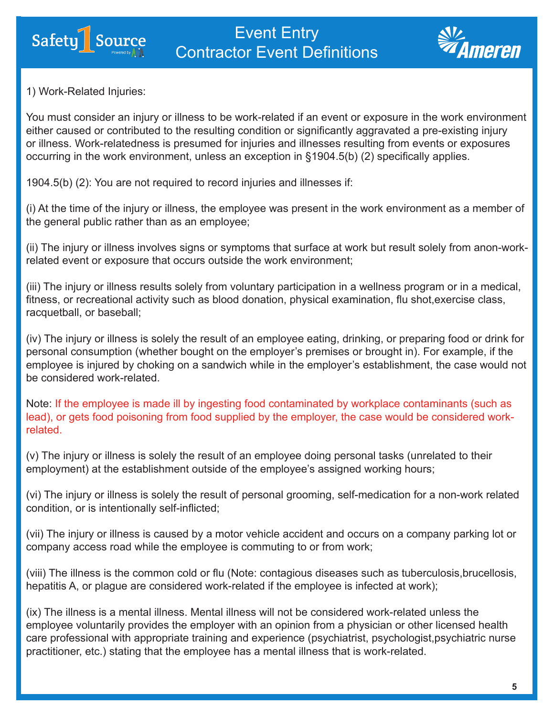

1) Work-Related Injuries:

Safety<sup></sub> Source</sup>

You must consider an injury or illness to be work-related if an event or exposure in the work environment either caused or contributed to the resulting condition or significantly aggravated a pre-existing injury or illness. Work-relatedness is presumed for injuries and illnesses resulting from events or exposures occurring in the work environment, unless an exception in §1904.5(b) (2) specifically applies.

1904.5(b) (2): You are not required to record injuries and illnesses if:

(i) At the time of the injury or illness, the employee was present in the work environment as a member of the general public rather than as an employee;

(ii) The injury or illness involves signs or symptoms that surface at work but result solely from anon-workrelated event or exposure that occurs outside the work environment;

(iii) The injury or illness results solely from voluntary participation in a wellness program or in a medical, fitness, or recreational activity such as blood donation, physical examination, flu shot,exercise class, racquetball, or baseball;

(iv) The injury or illness is solely the result of an employee eating, drinking, or preparing food or drink for personal consumption (whether bought on the employer's premises or brought in). For example, if the employee is injured by choking on a sandwich while in the employer's establishment, the case would not be considered work-related.

Note: If the employee is made ill by ingesting food contaminated by workplace contaminants (such as lead), or gets food poisoning from food supplied by the employer, the case would be considered workrelated.

(v) The injury or illness is solely the result of an employee doing personal tasks (unrelated to their employment) at the establishment outside of the employee's assigned working hours;

(vi) The injury or illness is solely the result of personal grooming, self-medication for a non-work related condition, or is intentionally self-inflicted;

(vii) The injury or illness is caused by a motor vehicle accident and occurs on a company parking lot or company access road while the employee is commuting to or from work;

(viii) The illness is the common cold or flu (Note: contagious diseases such as tuberculosis,brucellosis, hepatitis A, or plague are considered work-related if the employee is infected at work);

(ix) The illness is a mental illness. Mental illness will not be considered work-related unless the employee voluntarily provides the employer with an opinion from a physician or other licensed health care professional with appropriate training and experience (psychiatrist, psychologist,psychiatric nurse practitioner, etc.) stating that the employee has a mental illness that is work-related.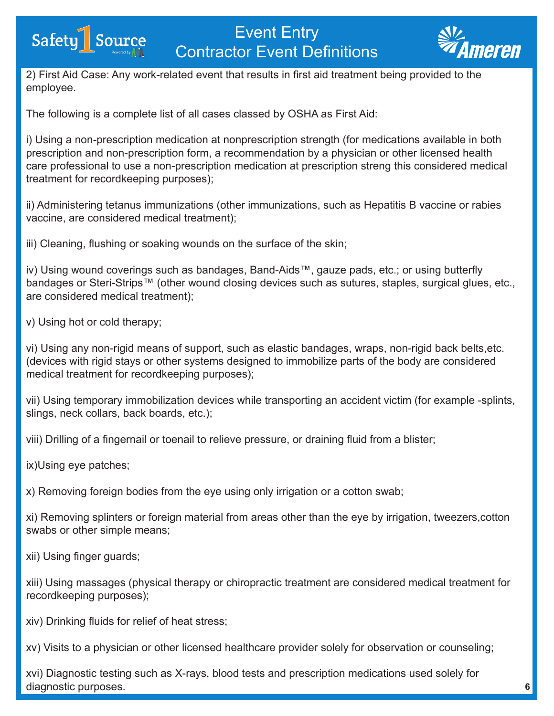



2) First Aid Case: Any work-related event that results in first aid treatment being provided to the employee.

The following is a complete list of all cases classed by OSHA as First Aid:

i) Using a non-prescription medication at nonprescription strength (for medications available in both prescription and non-prescription form, a recommendation by a physician or other licensed health care professional to use a non-prescription medication at prescription streng this considered medical treatment for recordkeeping purposes);

ii) Administering tetanus immunizations (other immunizations, such as Hepatitis B vaccine or rabies vaccine, are considered medical treatment);

iii) Cleaning, flushing or soaking wounds on the surface of the skin;

iv) Using wound coverings such as bandages, Band-Aids™, gauze pads, etc.; or using butterfly bandages or Steri-Strips™ (other wound closing devices such as sutures, staples, surgical glues, etc., are considered medical treatment);

v) Using hot or cold therapy;

vi) Using any non-rigid means of support, such as elastic bandages, wraps, non-rigid back belts,etc. (devices with rigid stays or other systems designed to immobilize parts of the body are considered medical treatment for recordkeeping purposes);

vii) Using temporary immobilization devices while transporting an accident victim (for example -splints, slings, neck collars, back boards, etc.);

viii) Drilling of a fingernail or toenail to relieve pressure, or draining fluid from a blister;

ix)Using eye patches;

x) Removing foreign bodies from the eye using only irrigation or a cotton swab;

xi) Removing splinters or foreign material from areas other than the eye by irrigation, tweezers,cotton swabs or other simple means;

xii) Using finger guards;

xiii) Using massages (physical therapy or chiropractic treatment are considered medical treatment for recordkeeping purposes);

xiv) Drinking fluids for relief of heat stress;

xv) Visits to a physician or other licensed healthcare provider solely for observation or counseling;

xvi) Diagnostic testing such as X-rays, blood tests and prescription medications used solely for diagnostic purposes.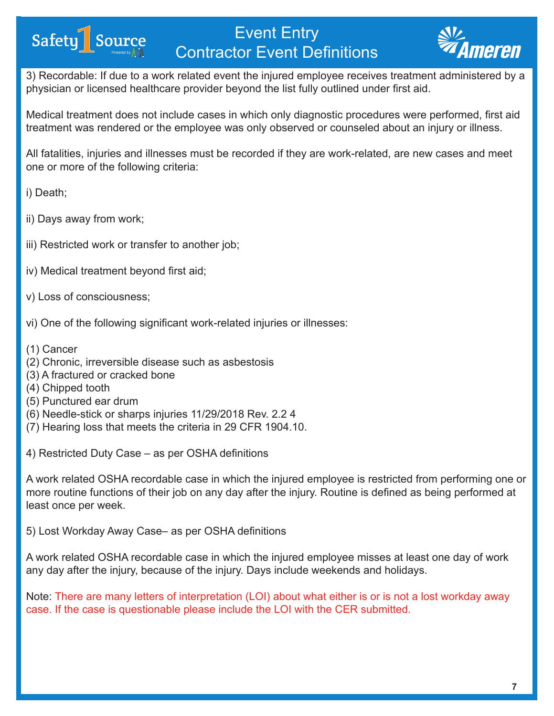

3) Recordable: If due to a work related event the injured employee receives treatment administered by a physician or licensed healthcare provider beyond the list fully outlined under first aid.

Medical treatment does not include cases in which only diagnostic procedures were performed, first aid treatment was rendered or the employee was only observed or counseled about an injury or illness.

All fatalities, injuries and illnesses must be recorded if they are work-related, are new cases and meet one or more of the following criteria:

i) Death;

ii) Days away from work;

Safety<sup>1</sup> Source

- iii) Restricted work or transfer to another job;
- iv) Medical treatment beyond first aid;
- v) Loss of consciousness;
- vi) One of the following significant work-related injuries or illnesses:
- (1) Cancer
- (2) Chronic, irreversible disease such as asbestosis
- (3) A fractured or cracked bone
- (4) Chipped tooth
- (5) Punctured ear drum
- (6) Needle-stick or sharps injuries 11/29/2018 Rev. 2.2 4
- (7) Hearing loss that meets the criteria in 29 CFR 1904.10.

4) Restricted Duty Case – as per OSHA definitions

A work related OSHA recordable case in which the injured employee is restricted from performing one or more routine functions of their job on any day after the injury. Routine is defined as being performed at least once per week.

5) Lost Workday Away Case– as per OSHA definitions

A work related OSHA recordable case in which the injured employee misses at least one day of work any day after the injury, because of the injury. Days include weekends and holidays.

Note: There are many letters of interpretation (LOI) about what either is or is not a lost workday away case. If the case is questionable please include the LOI with the CER submitted.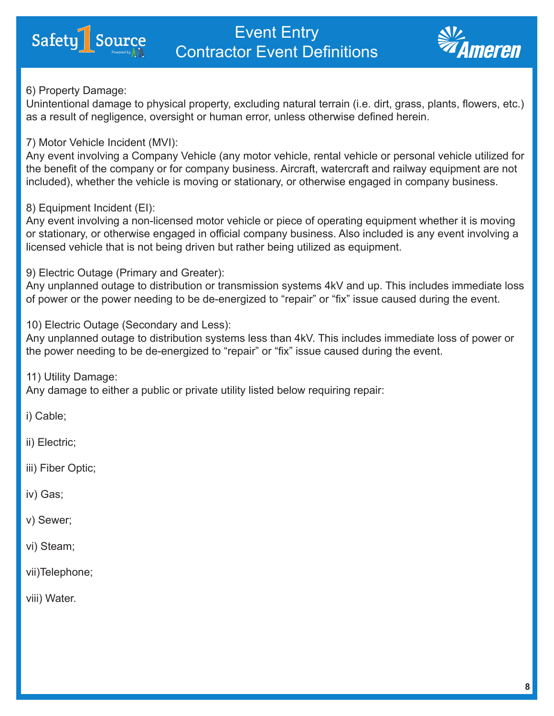



#### 6) Property Damage:

Unintentional damage to physical property, excluding natural terrain (i.e. dirt, grass, plants, flowers, etc.) as a result of negligence, oversight or human error, unless otherwise defined herein.

### 7) Motor Vehicle Incident (MVI):

Any event involving a Company Vehicle (any motor vehicle, rental vehicle or personal vehicle utilized for the benefit of the company or for company business. Aircraft, watercraft and railway equipment are not included), whether the vehicle is moving or stationary, or otherwise engaged in company business.

### 8) Equipment Incident (EI):

Any event involving a non-licensed motor vehicle or piece of operating equipment whether it is moving or stationary, or otherwise engaged in official company business. Also included is any event involving a licensed vehicle that is not being driven but rather being utilized as equipment.

9) Electric Outage (Primary and Greater):

Any unplanned outage to distribution or transmission systems 4kV and up. This includes immediate loss of power or the power needing to be de-energized to "repair" or "fix" issue caused during the event.

10) Electric Outage (Secondary and Less):

Any unplanned outage to distribution systems less than 4kV. This includes immediate loss of power or the power needing to be de-energized to "repair" or "fix" issue caused during the event.

11) Utility Damage: Any damage to either a public or private utility listed below requiring repair:

i) Cable;

ii) Electric;

iii) Fiber Optic;

iv) Gas;

v) Sewer;

vi) Steam;

vii)Telephone;

viii) Water.